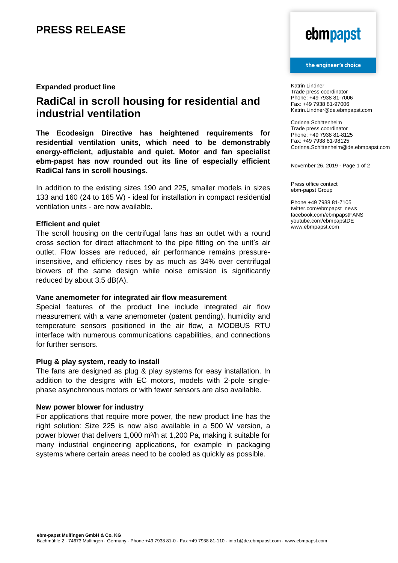## **PRESS RELEASE**

### **Expanded product line**

## **RadiCal in scroll housing for residential and industrial ventilation**

**The Ecodesign Directive has heightened requirements for residential ventilation units, which need to be demonstrably energy-efficient, adjustable and quiet. Motor and fan specialist ebm-papst has now rounded out its line of especially efficient RadiCal fans in scroll housings.** 

In addition to the existing sizes 190 and 225, smaller models in sizes 133 and 160 (24 to 165 W) - ideal for installation in compact residential ventilation units - are now available.

## **Efficient and quiet**

The scroll housing on the centrifugal fans has an outlet with a round cross section for direct attachment to the pipe fitting on the unit's air outlet. Flow losses are reduced, air performance remains pressureinsensitive, and efficiency rises by as much as 34% over centrifugal blowers of the same design while noise emission is significantly reduced by about 3.5 dB(A).

### **Vane anemometer for integrated air flow measurement**

Special features of the product line include integrated air flow measurement with a vane anemometer (patent pending), humidity and temperature sensors positioned in the air flow, a MODBUS RTU interface with numerous communications capabilities, and connections for further sensors.

### **Plug & play system, ready to install**

The fans are designed as plug & play systems for easy installation. In addition to the designs with EC motors, models with 2-pole singlephase asynchronous motors or with fewer sensors are also available.

### **New power blower for industry**

For applications that require more power, the new product line has the right solution: Size 225 is now also available in a 500 W version, a power blower that delivers 1,000 m<sup>3</sup>/h at 1,200 Pa, making it suitable for many industrial engineering applications, for example in packaging systems where certain areas need to be cooled as quickly as possible.

# ebmpapst

### the engineer's choice

Katrin Lindner Trade press coordinator Phone: +49 7938 81-7006 Fax: +49 7938 81-97006 Katrin.Lindner@de.ebmpapst.com

Corinna Schittenhelm Trade press coordinator Phone: +49 7938 81-8125 Fax: +49 7938 81-98125 Corinna.Schittenhelm@de.ebmpapst.com

November 26, 2019 - Page 1 of 2

Press office contact ebm-papst Group

Phone +49 7938 81-7105 twitter.com/ebmpapst\_news facebook.com/ebmpapstFANS youtube.com/ebmpapstDE www.ebmpapst.com